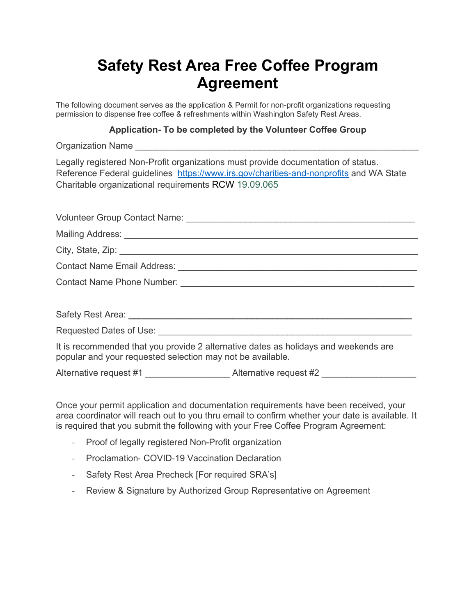# **Safety Rest Area Free Coffee Program Agreement**

The following document serves as the application & Permit for non-profit organizations requesting permission to dispense free coffee & refreshments within Washington Safety Rest Areas.

#### **Application- To be completed by the Volunteer Coffee Group**

Organization Name

Legally registered Non-Profit organizations must provide documentation of status. Reference Federal guidelines <https://www.irs.gov/charities-and-nonprofits> and WA State Charitable organizational requirements RCW [19.09.065](http://app.leg.wa.gov/RCW/default.aspx?cite=19.09.065)

| It is recommended that you provide 2 alternative dates as holidays and weekends are<br>popular and your requested selection may not be available. |
|---------------------------------------------------------------------------------------------------------------------------------------------------|

Alternative request #1  $\qquad \qquad$  Alternative request #2

Once your permit application and documentation requirements have been received, your area coordinator will reach out to you thru email to confirm whether your date is available. It is required that you submit the following with your Free Coffee Program Agreement:

- Proof of legally registered Non-Profit organization
- Proclamation COVID-19 Vaccination Declaration
- Safety Rest Area Precheck [For required SRA's]
- Review & Signature by Authorized Group Representative on Agreement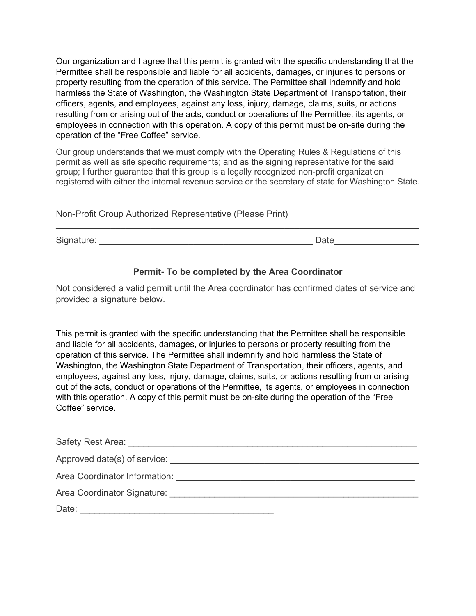Our organization and I agree that this permit is granted with the specific understanding that the Permittee shall be responsible and liable for all accidents, damages, or injuries to persons or property resulting from the operation of this service. The Permittee shall indemnify and hold harmless the State of Washington, the Washington State Department of Transportation, their officers, agents, and employees, against any loss, injury, damage, claims, suits, or actions resulting from or arising out of the acts, conduct or operations of the Permittee, its agents, or employees in connection with this operation. A copy of this permit must be on-site during the operation of the "Free Coffee" service.

Our group understands that we must comply with the Operating Rules & Regulations of this permit as well as site specific requirements; and as the signing representative for the said group; I further guarantee that this group is a legally recognized non-profit organization registered with either the internal revenue service or the secretary of state for Washington State.

Non-Profit Group Authorized Representative (Please Print)

Signature: \_\_\_\_\_\_\_\_\_\_\_\_\_\_\_\_\_\_\_\_\_\_\_\_\_\_\_\_\_\_\_\_\_\_\_\_\_\_\_\_\_\_\_ Date\_\_\_\_\_\_\_\_\_\_\_\_\_\_\_\_\_

## **Permit- To be completed by the Area Coordinator**

\_\_\_\_\_\_\_\_\_\_\_\_\_\_\_\_\_\_\_\_\_\_\_\_\_\_\_\_\_\_\_\_\_\_\_\_\_\_\_\_\_\_\_\_\_\_\_\_\_\_\_\_\_\_\_\_\_\_\_\_\_\_\_\_\_\_\_\_\_\_\_\_\_

Not considered a valid permit until the Area coordinator has confirmed dates of service and provided a signature below.

This permit is granted with the specific understanding that the Permittee shall be responsible and liable for all accidents, damages, or injuries to persons or property resulting from the operation of this service. The Permittee shall indemnify and hold harmless the State of Washington, the Washington State Department of Transportation, their officers, agents, and employees, against any loss, injury, damage, claims, suits, or actions resulting from or arising out of the acts, conduct or operations of the Permittee, its agents, or employees in connection with this operation. A copy of this permit must be on-site during the operation of the "Free Coffee" service.

| Safety Rest Area:             |
|-------------------------------|
| Approved date(s) of service:  |
| Area Coordinator Information: |
| Area Coordinator Signature:   |
| Date:                         |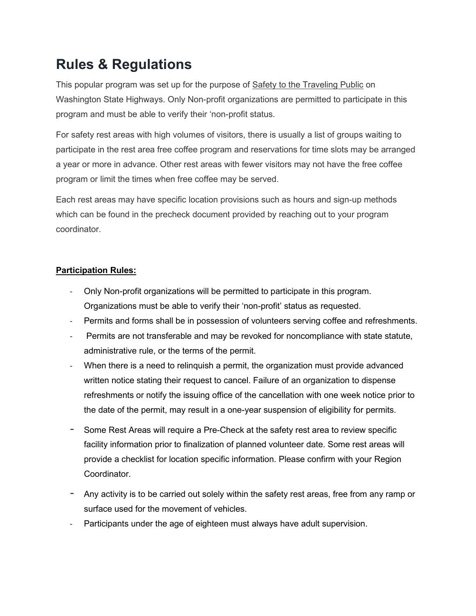## **Rules & Regulations**

This popular program was set up for the purpose of Safety to the Traveling Public on Washington State Highways. Only Non-profit organizations are permitted to participate in this program and must be able to verify their 'non-profit status.

For safety rest areas with high volumes of visitors, there is usually a list of groups waiting to participate in the rest area free coffee program and reservations for time slots may be arranged a year or more in advance. Other rest areas with fewer visitors may not have the free coffee program or limit the times when free coffee may be served.

Each rest areas may have specific location provisions such as hours and sign-up methods which can be found in the precheck document provided by reaching out to your program coordinator.

## **Participation Rules:**

- Only Non-profit organizations will be permitted to participate in this program. Organizations must be able to verify their 'non-profit' status as requested.
- Permits and forms shall be in possession of volunteers serving coffee and refreshments.
- Permits are not transferable and may be revoked for noncompliance with state statute, administrative rule, or the terms of the permit.
- When there is a need to relinquish a permit, the organization must provide advanced written notice stating their request to cancel. Failure of an organization to dispense refreshments or notify the issuing office of the cancellation with one week notice prior to the date of the permit, may result in a one-year suspension of eligibility for permits.
- Some Rest Areas will require a Pre-Check at the safety rest area to review specific facility information prior to finalization of planned volunteer date. Some rest areas will provide a checklist for location specific information. Please confirm with your Region Coordinator.
- Any activity is to be carried out solely within the safety rest areas, free from any ramp or surface used for the movement of vehicles.
- Participants under the age of eighteen must always have adult supervision.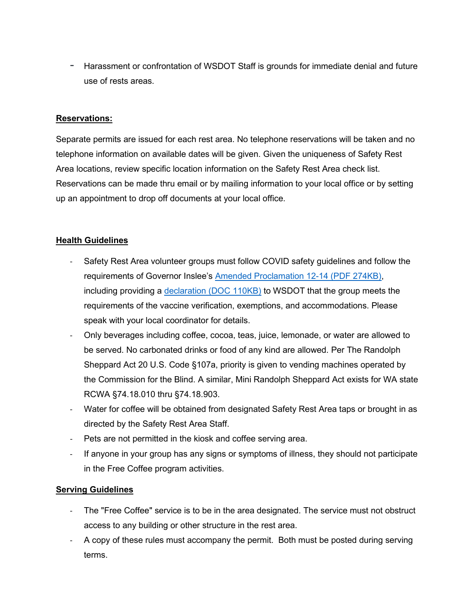- Harassment or confrontation of WSDOT Staff is grounds for immediate denial and future use of rests areas.

## **Reservations:**

Separate permits are issued for each rest area. No telephone reservations will be taken and no telephone information on available dates will be given. Given the uniqueness of Safety Rest Area locations, review specific location information on the Safety Rest Area check list. Reservations can be made thru email or by mailing information to your local office or by setting up an appointment to drop off documents at your local office.

## **Health Guidelines**

- Safety Rest Area volunteer groups must follow COVID safety guidelines and follow the requirements of Governor Inslee's [Amended Proclamation 12-14 \(PDF 274KB\),](https://www.governor.wa.gov/sites/default/files/proclamations/21-14.3%20-%20COVID-19%20Vax%20WA%20Amendment%20%28tmp%29.pdf) including providing a [declaration \(DOC 110KB\)](https://wsdot.wa.gov/sites/default/files/2022-05/Free-Coffee-Program-COVID-19-Vaccine-Declaration.pdf) to WSDOT that the group meets the requirements of the vaccine verification, exemptions, and accommodations. Please speak with your local coordinator for details.
- Only beverages including coffee, cocoa, teas, juice, lemonade, or water are allowed to be served. No carbonated drinks or food of any kind are allowed. Per The Randolph Sheppard Act 20 U.S. Code §107a, priority is given to vending machines operated by the Commission for the Blind. A similar, Mini Randolph Sheppard Act exists for WA state RCWA §74.18.010 thru §74.18.903.
- Water for coffee will be obtained from designated Safety Rest Area taps or brought in as directed by the Safety Rest Area Staff.
- Pets are not permitted in the kiosk and coffee serving area.
- If anyone in your group has any signs or symptoms of illness, they should not participate in the Free Coffee program activities.

#### **Serving Guidelines**

- The "Free Coffee" service is to be in the area designated. The service must not obstruct access to any building or other structure in the rest area.
- A copy of these rules must accompany the permit. Both must be posted during serving terms.